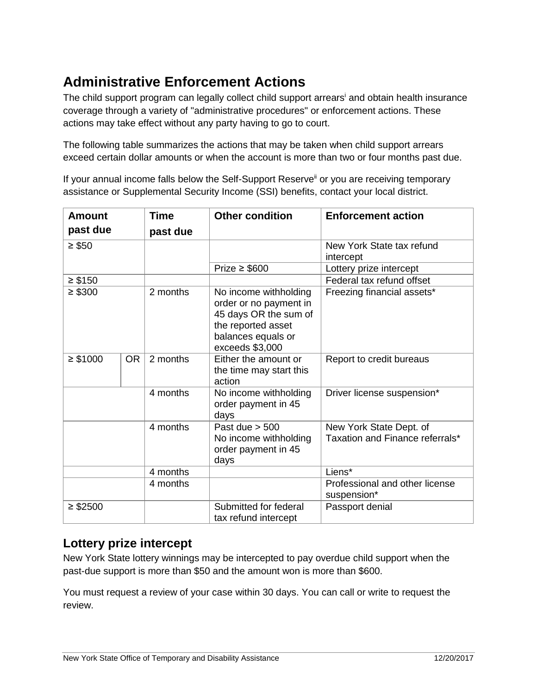# **Administrative Enforcement Actions**

The child support program can legally collect child support arrears<sup>i</sup> and obtain health insurance coverage through a variety of "administrative procedures" or enforcement actions. These actions may take effect without any party having to go to court.

The following table summarizes the actions that may be taken when child support arrears exceed certain dollar amounts or when the account is more than two or four months past due.

If your annual income falls below the Self-Support Reserve<sup>ii</sup> or you are receiving temporary assistance or Supplemental Security Income (SSI) benefits, contact your local district.

| <b>Amount</b> |           | <b>Time</b> | <b>Other condition</b>                                                                                                                  | <b>Enforcement action</b>                                  |
|---------------|-----------|-------------|-----------------------------------------------------------------------------------------------------------------------------------------|------------------------------------------------------------|
| past due      |           | past due    |                                                                                                                                         |                                                            |
| $\geq$ \$50   |           |             |                                                                                                                                         | New York State tax refund<br>intercept                     |
|               |           |             | Prize $\geq$ \$600                                                                                                                      | Lottery prize intercept                                    |
| $\geq$ \$150  |           |             |                                                                                                                                         | Federal tax refund offset                                  |
| $\geq$ \$300  |           | 2 months    | No income withholding<br>order or no payment in<br>45 days OR the sum of<br>the reported asset<br>balances equals or<br>exceeds \$3,000 | Freezing financial assets*                                 |
| $\geq$ \$1000 | <b>OR</b> | 2 months    | Either the amount or<br>the time may start this<br>action                                                                               | Report to credit bureaus                                   |
|               |           | 4 months    | No income withholding<br>order payment in 45<br>days                                                                                    | Driver license suspension*                                 |
|               |           | 4 months    | Past due $> 500$<br>No income withholding<br>order payment in 45<br>days                                                                | New York State Dept. of<br>Taxation and Finance referrals* |
|               |           | 4 months    |                                                                                                                                         | Liens*                                                     |
|               |           | 4 months    |                                                                                                                                         | Professional and other license<br>suspension*              |
| $\geq$ \$2500 |           |             | Submitted for federal<br>tax refund intercept                                                                                           | Passport denial                                            |

#### **Lottery prize intercept**

New York State lottery winnings may be intercepted to pay overdue child support when the past-due support is more than \$50 and the amount won is more than \$600.

You must request a review of your case within 30 days. You can call or write to request the review.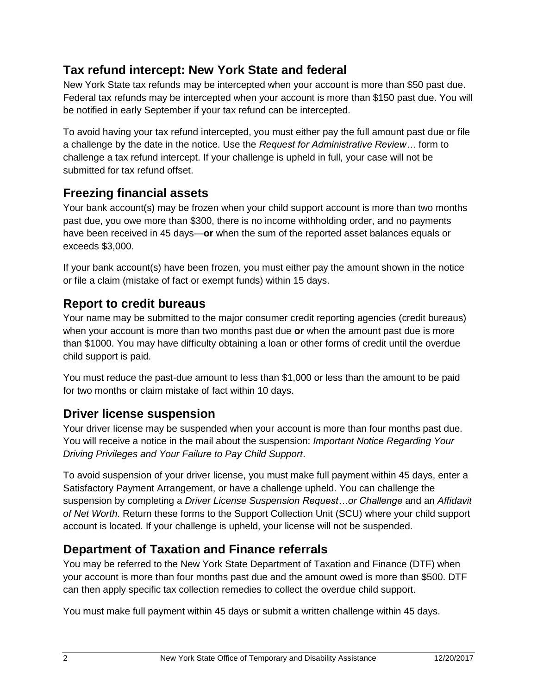## **Tax refund intercept: New York State and federal**

New York State tax refunds may be intercepted when your account is more than \$50 past due. Federal tax refunds may be intercepted when your account is more than \$150 past due. You will be notified in early September if your tax refund can be intercepted.

To avoid having your tax refund intercepted, you must either pay the full amount past due or file a challenge by the date in the notice. Use the *Request for Administrative Review…* form to challenge a tax refund intercept. If your challenge is upheld in full, your case will not be submitted for tax refund offset.

# **Freezing financial assets**

Your bank account(s) may be frozen when your child support account is more than two months past due, you owe more than \$300, there is no income withholding order, and no payments have been received in 45 days—**or** when the sum of the reported asset balances equals or exceeds \$3,000.

If your bank account(s) have been frozen, you must either pay the amount shown in the notice or file a claim (mistake of fact or exempt funds) within 15 days.

## **Report to credit bureaus**

Your name may be submitted to the major consumer credit reporting agencies (credit bureaus) when your account is more than two months past due **or** when the amount past due is more than \$1000. You may have difficulty obtaining a loan or other forms of credit until the overdue child support is paid.

You must reduce the past-due amount to less than \$1,000 or less than the amount to be paid for two months or claim mistake of fact within 10 days.

#### **Driver license suspension**

Your driver license may be suspended when your account is more than four months past due. You will receive a notice in the mail about the suspension: *Important Notice Regarding Your Driving Privileges and Your Failure to Pay Child Support*.

To avoid suspension of your driver license, you must make full payment within 45 days, enter a Satisfactory Payment Arrangement, or have a challenge upheld. You can challenge the suspension by completing a *Driver License Suspension Request…or Challenge* and an *Affidavit of Net Worth*. Return these forms to the Support Collection Unit (SCU) where your child support account is located. If your challenge is upheld, your license will not be suspended.

## **Department of Taxation and Finance referrals**

You may be referred to the New York State Department of Taxation and Finance (DTF) when your account is more than four months past due and the amount owed is more than \$500. DTF can then apply specific tax collection remedies to collect the overdue child support.

You must make full payment within 45 days or submit a written challenge within 45 days.